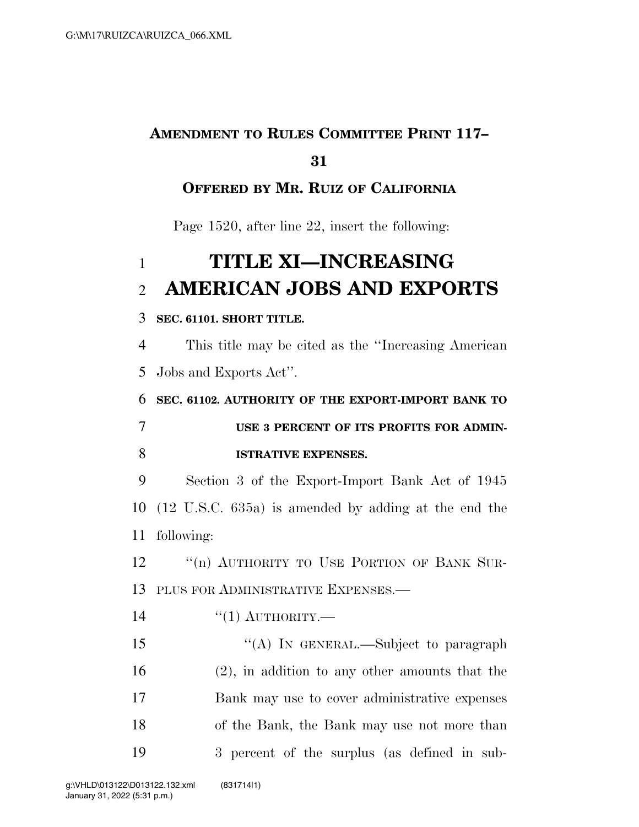## **AMENDMENT TO RULES COMMITTEE PRINT 117–**

### 

### **OFFERED BY MR. RUIZ OF CALIFORNIA**

Page 1520, after line 22, insert the following:

# **TITLE XI—INCREASING AMERICAN JOBS AND EXPORTS**

#### **SEC. 61101. SHORT TITLE.**

 This title may be cited as the ''Increasing American Jobs and Exports Act''.

 **SEC. 61102. AUTHORITY OF THE EXPORT-IMPORT BANK TO USE 3 PERCENT OF ITS PROFITS FOR ADMIN-ISTRATIVE EXPENSES.** 

 Section 3 of the Export-Import Bank Act of 1945 (12 U.S.C. 635a) is amended by adding at the end the following:

12 "(n) AUTHORITY TO USE PORTION OF BANK SUR-PLUS FOR ADMINISTRATIVE EXPENSES.—

''(1) AUTHORITY.—

15 "(A) In GENERAL.—Subject to paragraph (2), in addition to any other amounts that the Bank may use to cover administrative expenses of the Bank, the Bank may use not more than 3 percent of the surplus (as defined in sub